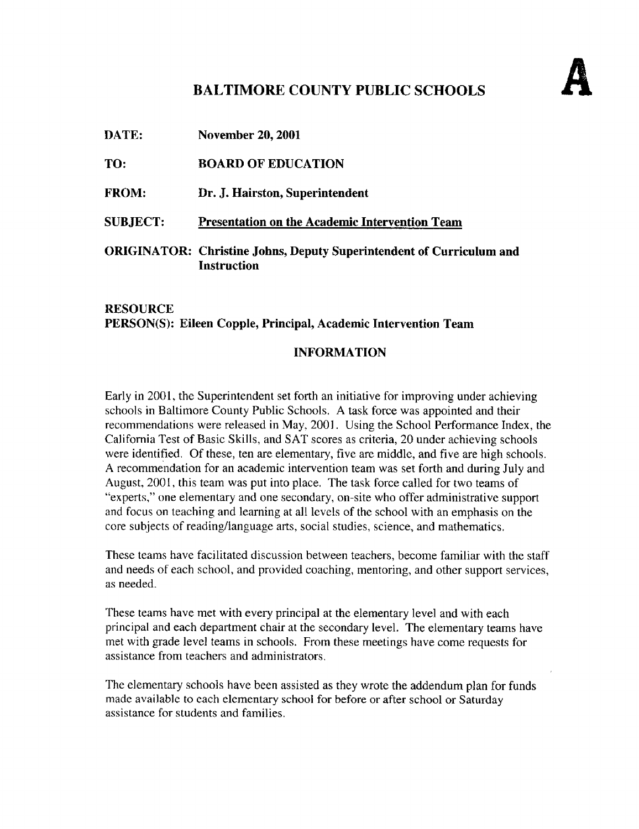## BALTIMORE COUNTY PUBLIC SCHOOLS

| DATE:           | <b>November 20, 2001</b>                                                                          |
|-----------------|---------------------------------------------------------------------------------------------------|
| TO:             | <b>BOARD OF EDUCATION</b>                                                                         |
| <b>FROM:</b>    | Dr. J. Hairston, Superintendent                                                                   |
| <b>SUBJECT:</b> | Presentation on the Academic Intervention Team                                                    |
|                 | <b>ORIGINATOR:</b> Christine Johns, Deputy Superintendent of Curriculum and<br><b>Instruction</b> |

## RESOURCE PERSON(S): Eileen Copple, Principal, Academic Intervention Team

## INFORMATION

Early in 2001, the Superintendent set forth an initiative for improving under achieving schools in Baltimore County Public Schools . A task force was appointed and their recommendations were released in May, 2001. Using the School Performance Index, the California Test of Basic Skills, and SAT scores as criteria, 20 under achieving schools were identified. Of these, ten are elementary, five are middle, and five are high schools . A recommendation for an academic intervention team was set forth and during July and August, 2001, this team was put into place. The task force called for two teams of "experts," one elementary and one secondary, on-site who offer administrative support and focus on teaching and learning at all levels of the school with an emphasis on the core subjects of reading/language arts, social studies, science, and mathematics.

These teams have facilitated discussion between teachers, become familiar with the staff and needs of each school, and provided coaching, mentoring, and other support services, as needed.

These teams have met with every principal at the elementary level and with each principal and each department chair at the secondary level. The elementary teams have met with grade level teams in schools. From these meetings have come requests for assistance from teachers and administrators .

The elementary schools have been assisted as they wrote the addendum plan for funds made available to each elementary school for before or after school or Saturday assistance for students and families.